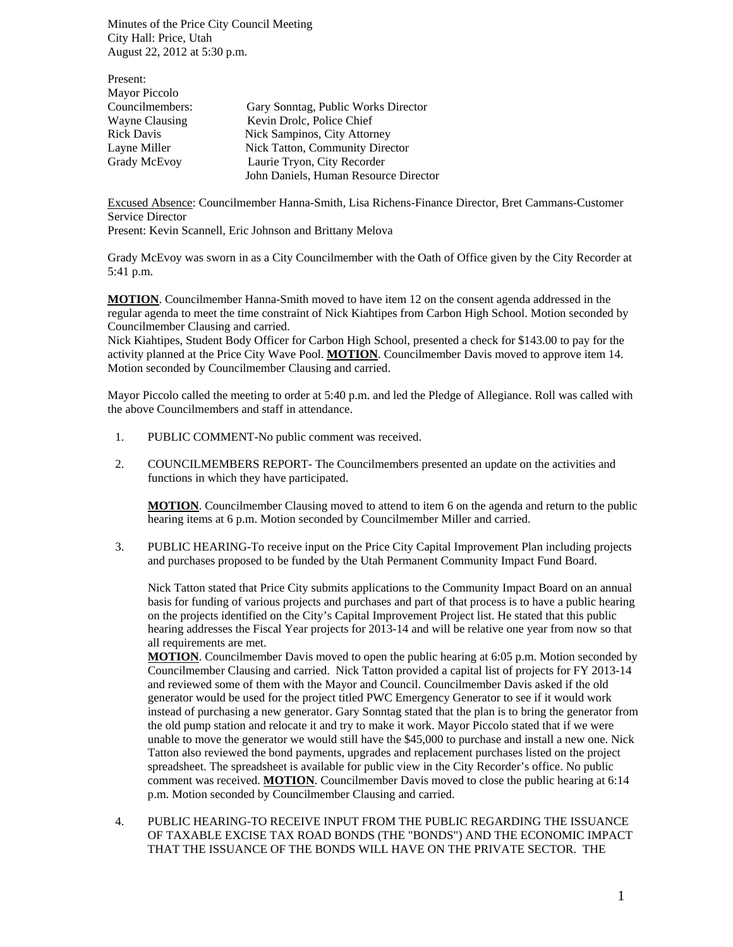Minutes of the Price City Council Meeting City Hall: Price, Utah August 22, 2012 at 5:30 p.m.

| Present:          |                                       |
|-------------------|---------------------------------------|
| Mayor Piccolo     |                                       |
| Councilmembers:   | Gary Sonntag, Public Works Director   |
| Wayne Clausing    | Kevin Drolc, Police Chief             |
| <b>Rick Davis</b> | Nick Sampinos, City Attorney          |
| Layne Miller      | Nick Tatton, Community Director       |
| Grady McEvoy      | Laurie Tryon, City Recorder           |
|                   | John Daniels, Human Resource Director |

Excused Absence: Councilmember Hanna-Smith, Lisa Richens-Finance Director, Bret Cammans-Customer Service Director

Present: Kevin Scannell, Eric Johnson and Brittany Melova

Grady McEvoy was sworn in as a City Councilmember with the Oath of Office given by the City Recorder at 5:41 p.m.

**MOTION**. Councilmember Hanna-Smith moved to have item 12 on the consent agenda addressed in the regular agenda to meet the time constraint of Nick Kiahtipes from Carbon High School. Motion seconded by Councilmember Clausing and carried.

Nick Kiahtipes, Student Body Officer for Carbon High School, presented a check for \$143.00 to pay for the activity planned at the Price City Wave Pool. **MOTION**. Councilmember Davis moved to approve item 14. Motion seconded by Councilmember Clausing and carried.

Mayor Piccolo called the meeting to order at 5:40 p.m. and led the Pledge of Allegiance. Roll was called with the above Councilmembers and staff in attendance.

- 1. PUBLIC COMMENT-No public comment was received.
- 2. COUNCILMEMBERS REPORT- The Councilmembers presented an update on the activities and functions in which they have participated.

**MOTION**. Councilmember Clausing moved to attend to item 6 on the agenda and return to the public hearing items at 6 p.m. Motion seconded by Councilmember Miller and carried.

3. PUBLIC HEARING-To receive input on the Price City Capital Improvement Plan including projects and purchases proposed to be funded by the Utah Permanent Community Impact Fund Board.

Nick Tatton stated that Price City submits applications to the Community Impact Board on an annual basis for funding of various projects and purchases and part of that process is to have a public hearing on the projects identified on the City's Capital Improvement Project list. He stated that this public hearing addresses the Fiscal Year projects for 2013-14 and will be relative one year from now so that all requirements are met.

**MOTION**. Councilmember Davis moved to open the public hearing at 6:05 p.m. Motion seconded by Councilmember Clausing and carried. Nick Tatton provided a capital list of projects for FY 2013-14 and reviewed some of them with the Mayor and Council. Councilmember Davis asked if the old generator would be used for the project titled PWC Emergency Generator to see if it would work instead of purchasing a new generator. Gary Sonntag stated that the plan is to bring the generator from the old pump station and relocate it and try to make it work. Mayor Piccolo stated that if we were unable to move the generator we would still have the \$45,000 to purchase and install a new one. Nick Tatton also reviewed the bond payments, upgrades and replacement purchases listed on the project spreadsheet. The spreadsheet is available for public view in the City Recorder's office. No public comment was received. **MOTION**. Councilmember Davis moved to close the public hearing at 6:14 p.m. Motion seconded by Councilmember Clausing and carried.

4. PUBLIC HEARING-TO RECEIVE INPUT FROM THE PUBLIC REGARDING THE ISSUANCE OF TAXABLE EXCISE TAX ROAD BONDS (THE "BONDS") AND THE ECONOMIC IMPACT THAT THE ISSUANCE OF THE BONDS WILL HAVE ON THE PRIVATE SECTOR. THE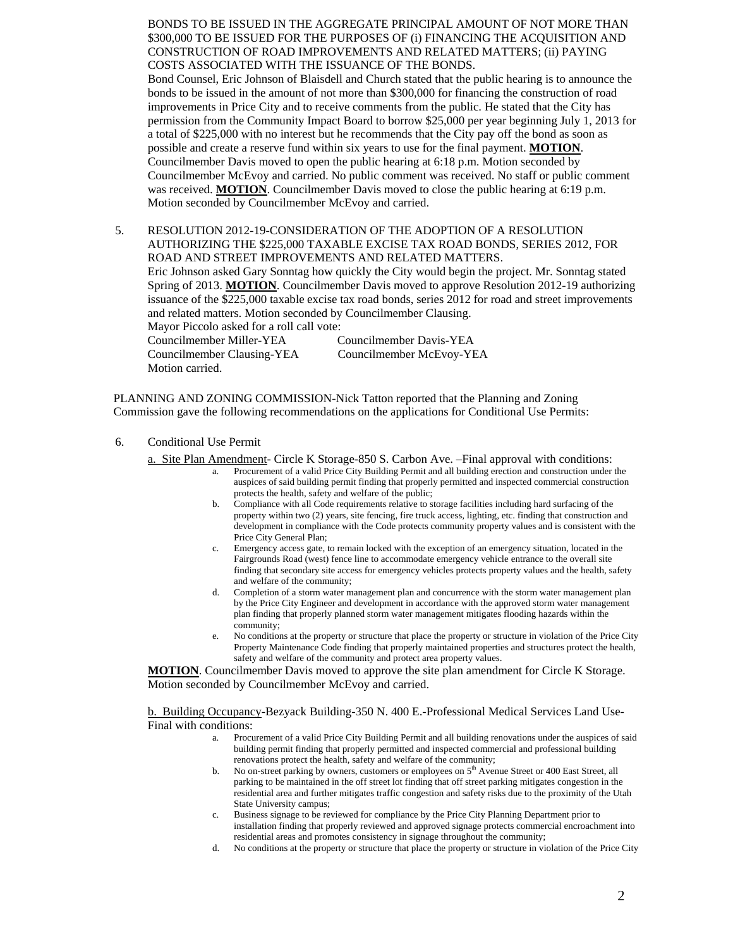BONDS TO BE ISSUED IN THE AGGREGATE PRINCIPAL AMOUNT OF NOT MORE THAN \$300,000 TO BE ISSUED FOR THE PURPOSES OF (i) FINANCING THE ACQUISITION AND CONSTRUCTION OF ROAD IMPROVEMENTS AND RELATED MATTERS; (ii) PAYING COSTS ASSOCIATED WITH THE ISSUANCE OF THE BONDS.

Bond Counsel, Eric Johnson of Blaisdell and Church stated that the public hearing is to announce the bonds to be issued in the amount of not more than \$300,000 for financing the construction of road improvements in Price City and to receive comments from the public. He stated that the City has permission from the Community Impact Board to borrow \$25,000 per year beginning July 1, 2013 for a total of \$225,000 with no interest but he recommends that the City pay off the bond as soon as possible and create a reserve fund within six years to use for the final payment. **MOTION**. Councilmember Davis moved to open the public hearing at 6:18 p.m. Motion seconded by Councilmember McEvoy and carried. No public comment was received. No staff or public comment was received. **MOTION**. Councilmember Davis moved to close the public hearing at 6:19 p.m. Motion seconded by Councilmember McEvoy and carried.

5. RESOLUTION 2012-19-CONSIDERATION OF THE ADOPTION OF A RESOLUTION AUTHORIZING THE \$225,000 TAXABLE EXCISE TAX ROAD BONDS, SERIES 2012, FOR ROAD AND STREET IMPROVEMENTS AND RELATED MATTERS. Eric Johnson asked Gary Sonntag how quickly the City would begin the project. Mr. Sonntag stated Spring of 2013. **MOTION**. Councilmember Davis moved to approve Resolution 2012-19 authorizing issuance of the \$225,000 taxable excise tax road bonds, series 2012 for road and street improvements and related matters. Motion seconded by Councilmember Clausing. Mayor Piccolo asked for a roll call vote: Councilmember Miller-YEA Councilmember Davis-YEA Councilmember Clausing-YEA Councilmember McEvoy-YEA Motion carried.

PLANNING AND ZONING COMMISSION-Nick Tatton reported that the Planning and Zoning Commission gave the following recommendations on the applications for Conditional Use Permits:

6. Conditional Use Permit

a. Site Plan Amendment- Circle K Storage-850 S. Carbon Ave. –Final approval with conditions: a. Procurement of a valid Price City Building Permit and all building erection and construction under the

- auspices of said building permit finding that properly permitted and inspected commercial construction protects the health, safety and welfare of the public;
- b. Compliance with all Code requirements relative to storage facilities including hard surfacing of the property within two (2) years, site fencing, fire truck access, lighting, etc. finding that construction and development in compliance with the Code protects community property values and is consistent with the Price City General Plan;
- c. Emergency access gate, to remain locked with the exception of an emergency situation, located in the Fairgrounds Road (west) fence line to accommodate emergency vehicle entrance to the overall site finding that secondary site access for emergency vehicles protects property values and the health, safety and welfare of the community;
- d. Completion of a storm water management plan and concurrence with the storm water management plan by the Price City Engineer and development in accordance with the approved storm water management plan finding that properly planned storm water management mitigates flooding hazards within the community;
- e. No conditions at the property or structure that place the property or structure in violation of the Price City Property Maintenance Code finding that properly maintained properties and structures protect the health, safety and welfare of the community and protect area property values.

**MOTION**. Councilmember Davis moved to approve the site plan amendment for Circle K Storage. Motion seconded by Councilmember McEvoy and carried.

b. Building Occupancy-Bezyack Building-350 N. 400 E.-Professional Medical Services Land Use-Final with conditions:<br>
a. Procurement of a valid Price City Building Permit and all building renovations under the auspices of said

- building permit finding that properly permitted and inspected commercial and professional building renovations protect the health, safety and welfare of the community;
- b. No on-street parking by owners, customers or employees on  $5<sup>th</sup>$  Avenue Street or 400 East Street, all parking to be maintained in the off street lot finding that off street parking mitigates congestion in the residential area and further mitigates traffic congestion and safety risks due to the proximity of the Utah State University campus;
- c. Business signage to be reviewed for compliance by the Price City Planning Department prior to installation finding that properly reviewed and approved signage protects commercial encroachment into residential areas and promotes consistency in signage throughout the community;
- d. No conditions at the property or structure that place the property or structure in violation of the Price City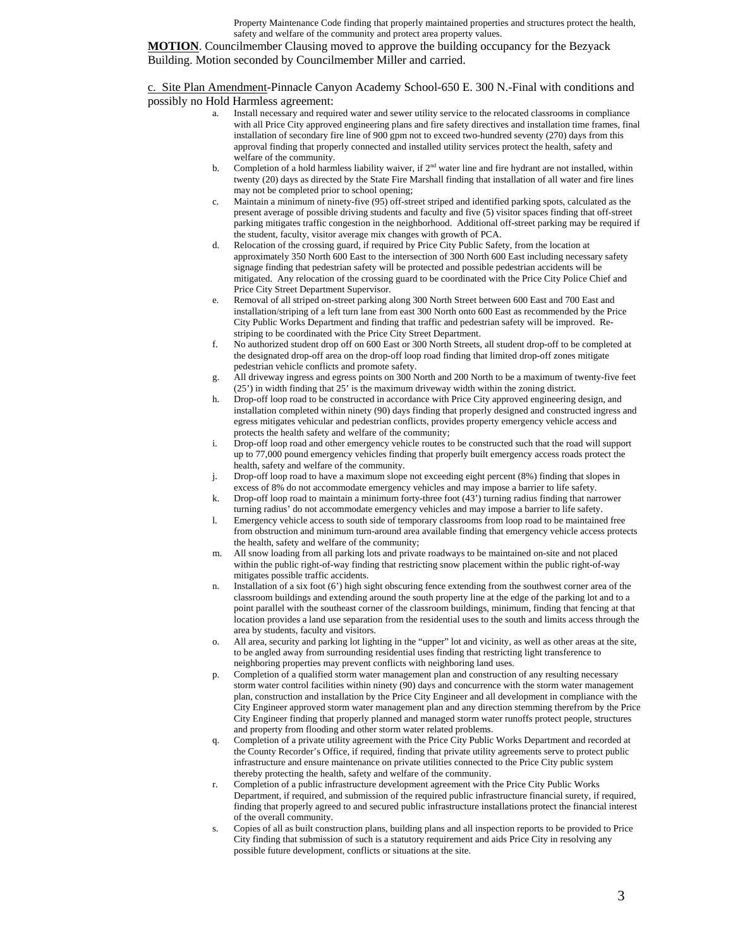Property Maintenance Code finding that properly maintained properties and structures protect the health, safety and welfare of the community and protect area property values.

**MOTION**. Councilmember Clausing moved to approve the building occupancy for the Bezyack Building. Motion seconded by Councilmember Miller and carried.

c. Site Plan Amendment-Pinnacle Canyon Academy School-650 E. 300 N.-Final with conditions and possibly no Hold Harmless agreement: a. Install necessary and required water and sewer utility service to the relocated classrooms in compliance

- with all Price City approved engineering plans and fire safety directives and installation time frames, final installation of secondary fire line of 900 gpm not to exceed two-hundred seventy (270) days from this approval finding that properly connected and installed utility services protect the health, safety and welfare of the community.
- b. Completion of a hold harmless liability waiver, if  $2<sup>nd</sup>$  water line and fire hydrant are not installed, within twenty (20) days as directed by the State Fire Marshall finding that installation of all water and fire lines may not be completed prior to school opening;
- c. Maintain a minimum of ninety-five (95) off-street striped and identified parking spots, calculated as the present average of possible driving students and faculty and five (5) visitor spaces finding that off-street parking mitigates traffic congestion in the neighborhood. Additional off-street parking may be required if the student, faculty, visitor average mix changes with growth of PCA.
- d. Relocation of the crossing guard, if required by Price City Public Safety, from the location at approximately 350 North 600 East to the intersection of 300 North 600 East including necessary safety signage finding that pedestrian safety will be protected and possible pedestrian accidents will be mitigated. Any relocation of the crossing guard to be coordinated with the Price City Police Chief and Price City Street Department Supervisor.
- e. Removal of all striped on-street parking along 300 North Street between 600 East and 700 East and installation/striping of a left turn lane from east 300 North onto 600 East as recommended by the Price City Public Works Department and finding that traffic and pedestrian safety will be improved. Restriping to be coordinated with the Price City Street Department.
- f. No authorized student drop off on 600 East or 300 North Streets, all student drop-off to be completed at the designated drop-off area on the drop-off loop road finding that limited drop-off zones mitigate pedestrian vehicle conflicts and promote safety.
- g. All driveway ingress and egress points on 300 North and 200 North to be a maximum of twenty-five feet (25') in width finding that 25' is the maximum driveway width within the zoning district.
- h. Drop-off loop road to be constructed in accordance with Price City approved engineering design, and installation completed within ninety (90) days finding that properly designed and constructed ingress and egress mitigates vehicular and pedestrian conflicts, provides property emergency vehicle access and protects the health safety and welfare of the community;
- i. Drop-off loop road and other emergency vehicle routes to be constructed such that the road will support up to 77,000 pound emergency vehicles finding that properly built emergency access roads protect the health, safety and welfare of the community.
- j. Drop-off loop road to have a maximum slope not exceeding eight percent (8%) finding that slopes in excess of 8% do not accommodate emergency vehicles and may impose a barrier to life safety.
- k. Drop-off loop road to maintain a minimum forty-three foot (43') turning radius finding that narrower turning radius' do not accommodate emergency vehicles and may impose a barrier to life safety.
- l. Emergency vehicle access to south side of temporary classrooms from loop road to be maintained free from obstruction and minimum turn-around area available finding that emergency vehicle access protects the health, safety and welfare of the community;
- m. All snow loading from all parking lots and private roadways to be maintained on-site and not placed within the public right-of-way finding that restricting snow placement within the public right-of-way mitigates possible traffic accidents.
- n. Installation of a six foot (6') high sight obscuring fence extending from the southwest corner area of the classroom buildings and extending around the south property line at the edge of the parking lot and to a point parallel with the southeast corner of the classroom buildings, minimum, finding that fencing at that location provides a land use separation from the residential uses to the south and limits access through the area by students, faculty and visitors.
- o. All area, security and parking lot lighting in the "upper" lot and vicinity, as well as other areas at the site, to be angled away from surrounding residential uses finding that restricting light transference to neighboring properties may prevent conflicts with neighboring land uses.
- p. Completion of a qualified storm water management plan and construction of any resulting necessary storm water control facilities within ninety (90) days and concurrence with the storm water management plan, construction and installation by the Price City Engineer and all development in compliance with the City Engineer approved storm water management plan and any direction stemming therefrom by the Price City Engineer finding that properly planned and managed storm water runoffs protect people, structures and property from flooding and other storm water related problems.
- q. Completion of a private utility agreement with the Price City Public Works Department and recorded at the County Recorder's Office, if required, finding that private utility agreements serve to protect public infrastructure and ensure maintenance on private utilities connected to the Price City public system thereby protecting the health, safety and welfare of the community.
- r. Completion of a public infrastructure development agreement with the Price City Public Works Department, if required, and submission of the required public infrastructure financial surety, if required, finding that properly agreed to and secured public infrastructure installations protect the financial interest of the overall community.
- s. Copies of all as built construction plans, building plans and all inspection reports to be provided to Price City finding that submission of such is a statutory requirement and aids Price City in resolving any possible future development, conflicts or situations at the site.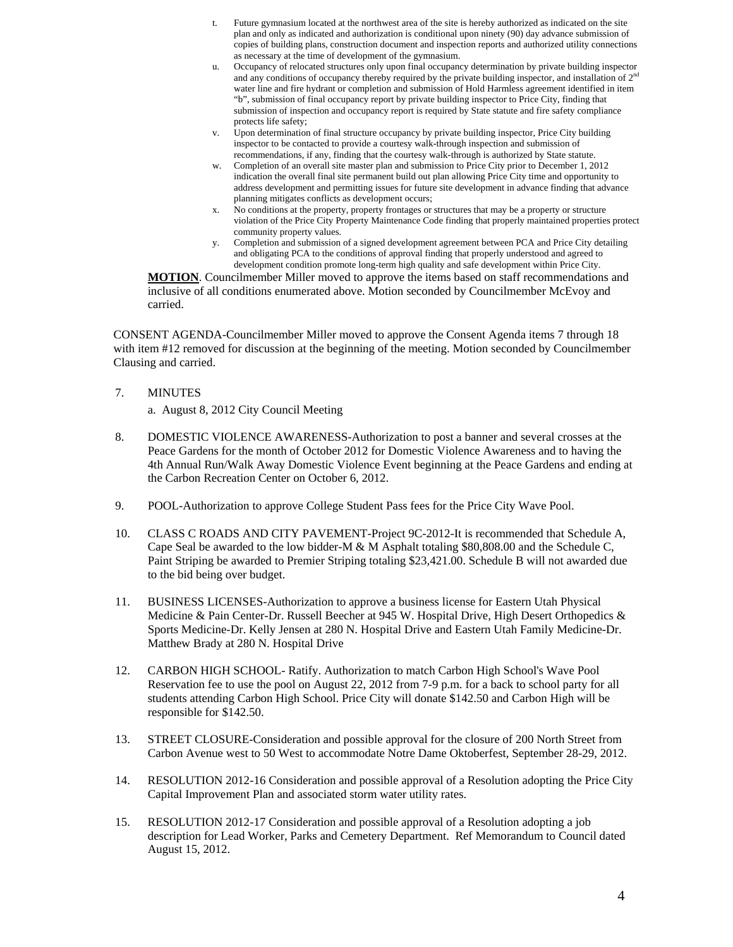- t. Future gymnasium located at the northwest area of the site is hereby authorized as indicated on the site plan and only as indicated and authorization is conditional upon ninety (90) day advance submission of copies of building plans, construction document and inspection reports and authorized utility connections as necessary at the time of development of the gymnasium.
- u. Occupancy of relocated structures only upon final occupancy determination by private building inspector and any conditions of occupancy thereby required by the private building inspector, and installation of  $2<sup>nd</sup>$ water line and fire hydrant or completion and submission of Hold Harmless agreement identified in item "b", submission of final occupancy report by private building inspector to Price City, finding that submission of inspection and occupancy report is required by State statute and fire safety compliance protects life safety;
- v. Upon determination of final structure occupancy by private building inspector, Price City building inspector to be contacted to provide a courtesy walk-through inspection and submission of recommendations, if any, finding that the courtesy walk-through is authorized by State statute.
- w. Completion of an overall site master plan and submission to Price City prior to December 1, 2012 indication the overall final site permanent build out plan allowing Price City time and opportunity to address development and permitting issues for future site development in advance finding that advance planning mitigates conflicts as development occurs;
- x. No conditions at the property, property frontages or structures that may be a property or structure violation of the Price City Property Maintenance Code finding that properly maintained properties protect community property values.
- y. Completion and submission of a signed development agreement between PCA and Price City detailing and obligating PCA to the conditions of approval finding that properly understood and agreed to development condition promote long-term high quality and safe development within Price City.

**MOTION**. Councilmember Miller moved to approve the items based on staff recommendations and inclusive of all conditions enumerated above. Motion seconded by Councilmember McEvoy and carried.

CONSENT AGENDA-Councilmember Miller moved to approve the Consent Agenda items 7 through 18 with item #12 removed for discussion at the beginning of the meeting. Motion seconded by Councilmember Clausing and carried.

7. MINUTES

a. August 8, 2012 City Council Meeting

- 8. DOMESTIC VIOLENCE AWARENESS-Authorization to post a banner and several crosses at the Peace Gardens for the month of October 2012 for Domestic Violence Awareness and to having the 4th Annual Run/Walk Away Domestic Violence Event beginning at the Peace Gardens and ending at the Carbon Recreation Center on October 6, 2012.
- 9. POOL-Authorization to approve College Student Pass fees for the Price City Wave Pool.
- 10. CLASS C ROADS AND CITY PAVEMENT-Project 9C-2012-It is recommended that Schedule A, Cape Seal be awarded to the low bidder-M & M Asphalt totaling \$80,808.00 and the Schedule C, Paint Striping be awarded to Premier Striping totaling \$23,421.00. Schedule B will not awarded due to the bid being over budget.
- 11. BUSINESS LICENSES-Authorization to approve a business license for Eastern Utah Physical Medicine & Pain Center-Dr. Russell Beecher at 945 W. Hospital Drive, High Desert Orthopedics & Sports Medicine-Dr. Kelly Jensen at 280 N. Hospital Drive and Eastern Utah Family Medicine-Dr. Matthew Brady at 280 N. Hospital Drive
- 12. CARBON HIGH SCHOOL- Ratify. Authorization to match Carbon High School's Wave Pool Reservation fee to use the pool on August 22, 2012 from 7-9 p.m. for a back to school party for all students attending Carbon High School. Price City will donate \$142.50 and Carbon High will be responsible for \$142.50.
- 13. STREET CLOSURE-Consideration and possible approval for the closure of 200 North Street from Carbon Avenue west to 50 West to accommodate Notre Dame Oktoberfest, September 28-29, 2012.
- 14. RESOLUTION 2012-16 Consideration and possible approval of a Resolution adopting the Price City Capital Improvement Plan and associated storm water utility rates.
- 15. RESOLUTION 2012-17 Consideration and possible approval of a Resolution adopting a job description for Lead Worker, Parks and Cemetery Department. Ref Memorandum to Council dated August 15, 2012.